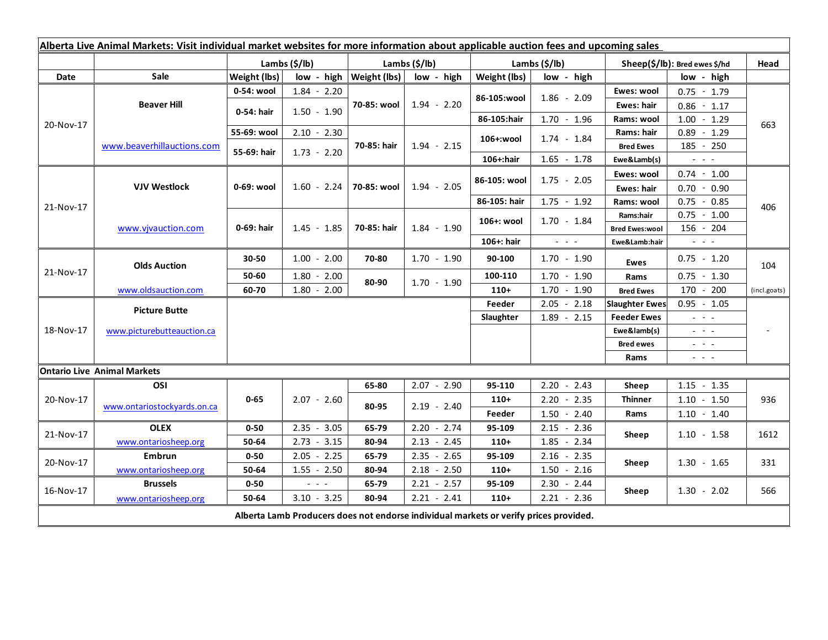| Alberta Live Animal Markets: Visit individual market websites for more information about applicable auction fees and upcoming sales |                                    |               |               |                              |               |                            |                                                                 |                               |                                                                                                                           |              |
|-------------------------------------------------------------------------------------------------------------------------------------|------------------------------------|---------------|---------------|------------------------------|---------------|----------------------------|-----------------------------------------------------------------|-------------------------------|---------------------------------------------------------------------------------------------------------------------------|--------------|
|                                                                                                                                     |                                    | Lambs (\$/lb) |               | Lambs $(\frac{2}{3})$ lb)    |               | Lambs $(\frac{2}{3})$ lb)  |                                                                 | Sheep(\$/lb): Bred ewes \$/hd |                                                                                                                           | Head         |
| Date                                                                                                                                | <b>Sale</b>                        | Weight (lbs)  |               | $low - high   Weight (lbs) $ | low - high    | Weight (lbs)<br>low - high |                                                                 | low - high                    |                                                                                                                           |              |
| 20-Nov-17                                                                                                                           | <b>Beaver Hill</b>                 | 0-54: wool    | $1.84 - 2.20$ | 70-85: wool                  | $1.94 - 2.20$ |                            |                                                                 | Ewes: wool                    | $0.75 - 1.79$                                                                                                             | 663          |
|                                                                                                                                     |                                    | 0-54: hair    | $1.50 - 1.90$ |                              |               | 86-105:wool                | $1.86 - 2.09$                                                   | Ewes: hair                    | $0.86 - 1.17$                                                                                                             |              |
|                                                                                                                                     |                                    |               |               |                              |               | 86-105:hair                | $1.70 - 1.96$                                                   | Rams: wool                    | $1.00 - 1.29$                                                                                                             |              |
|                                                                                                                                     | www.beaverhillauctions.com         | 55-69: wool   | $2.10 - 2.30$ | 70-85: hair                  | $1.94 - 2.15$ | 106+:wool                  | $1.74 - 1.84$                                                   | Rams: hair                    | $0.89 - 1.29$                                                                                                             |              |
|                                                                                                                                     |                                    | 55-69: hair   | $1.73 - 2.20$ |                              |               |                            |                                                                 | <b>Bred Ewes</b>              | $185 - 250$                                                                                                               |              |
|                                                                                                                                     |                                    |               |               |                              |               | 106+:hair                  | $1.65 - 1.78$                                                   | Ewe&Lamb(s)                   | $\frac{1}{2} \left( \frac{1}{2} \right) \left( \frac{1}{2} \right) \left( \frac{1}{2} \right) \left( \frac{1}{2} \right)$ |              |
| 21-Nov-17                                                                                                                           | <b>VJV Westlock</b>                | 0-69: wool    |               | 70-85: wool                  | $1.94 - 2.05$ | 86-105: wool               | $1.75 - 2.05$                                                   | Ewes: wool                    | $0.74 - 1.00$                                                                                                             | 406          |
|                                                                                                                                     |                                    |               | $1.60 - 2.24$ |                              |               |                            |                                                                 | Ewes: hair                    | 0.70<br>0.90<br>$\sim$                                                                                                    |              |
|                                                                                                                                     |                                    |               |               |                              |               | 86-105: hair               | $1.75 - 1.92$                                                   | Rams: wool                    | $0.75 - 0.85$                                                                                                             |              |
|                                                                                                                                     | www.vivauction.com                 | 0-69: hair    |               | 70-85: hair                  | $1.84 - 1.90$ | 106+: wool                 | $1.70 - 1.84$                                                   | Rams:hair                     | $0.75 - 1.00$                                                                                                             |              |
|                                                                                                                                     |                                    |               | $1.45 - 1.85$ |                              |               |                            |                                                                 | <b>Bred Ewes:wool</b>         | 156 - 204                                                                                                                 |              |
|                                                                                                                                     |                                    |               |               |                              |               | 106+: hair                 | $\omega_{\rm{eff}}$ , $\omega_{\rm{eff}}$ , $\omega_{\rm{eff}}$ | Ewe&Lamb:hair                 | $\omega_{\rm{max}}$                                                                                                       |              |
| 21-Nov-17                                                                                                                           | <b>Olds Auction</b>                | 30-50         | $1.00 - 2.00$ | 70-80                        | $1.70 - 1.90$ | 90-100                     | $1.70 - 1.90$                                                   | <b>Ewes</b>                   | $0.75 - 1.20$                                                                                                             | 104          |
|                                                                                                                                     |                                    | 50-60         | $1.80 - 2.00$ | 80-90                        | $1.70 - 1.90$ | 100-110                    | $1.70 - 1.90$                                                   | Rams                          | $0.75 - 1.30$                                                                                                             |              |
|                                                                                                                                     | www.oldsauction.com                | 60-70         | $1.80 - 2.00$ |                              |               | $110+$                     | $1.70 - 1.90$                                                   | <b>Bred Ewes</b>              | 170 - 200                                                                                                                 | (incl.goats) |
| 18-Nov-17                                                                                                                           | <b>Picture Butte</b>               |               |               |                              |               | Feeder                     | $2.05 - 2.18$                                                   | <b>Slaughter Ewes</b>         | $0.95 - 1.05$                                                                                                             |              |
|                                                                                                                                     |                                    |               |               |                              |               | Slaughter                  | $1.89 - 2.15$                                                   | <b>Feeder Ewes</b>            | $\omega_{\rm{eff}}$ and $\omega_{\rm{eff}}$                                                                               |              |
|                                                                                                                                     | www.picturebutteauction.ca         |               |               |                              |               |                            |                                                                 | Ewe&lamb(s)                   | $\omega_{\rm{eff}}=0.1$                                                                                                   |              |
|                                                                                                                                     |                                    |               |               |                              |               |                            |                                                                 | <b>Bred ewes</b>              | $\frac{1}{2} \left( \frac{1}{2} \right) = \frac{1}{2} \left( \frac{1}{2} \right)$                                         |              |
|                                                                                                                                     |                                    |               |               |                              |               |                            |                                                                 | Rams                          | $\frac{1}{2} \left( \frac{1}{2} \right) \frac{1}{2} \left( \frac{1}{2} \right) \frac{1}{2} \left( \frac{1}{2} \right)$    |              |
|                                                                                                                                     | <b>Ontario Live Animal Markets</b> |               |               |                              |               |                            |                                                                 |                               |                                                                                                                           |              |
| 20-Nov-17                                                                                                                           | OSI                                | $0 - 65$      |               | 65-80                        | $2.07 - 2.90$ | 95-110                     | $2.20 - 2.43$                                                   | Sheep                         | $1.15 - 1.35$                                                                                                             | 936          |
|                                                                                                                                     | www.ontariostockyards.on.ca        |               | $2.07 - 2.60$ | 80-95                        | $2.19 - 2.40$ | $110+$                     | $2.20 - 2.35$                                                   | <b>Thinner</b><br>Rams        | $1.10 - 1.50$                                                                                                             |              |
|                                                                                                                                     |                                    |               |               |                              |               | Feeder                     | $1.50 - 2.40$                                                   |                               | $1.10 - 1.40$                                                                                                             |              |
| 21-Nov-17                                                                                                                           | <b>OLEX</b>                        | $0 - 50$      | $2.35 - 3.05$ | 65-79                        | $2.20 - 2.74$ | 95-109                     | $2.15 - 2.36$                                                   | Sheep                         | $1.10 - 1.58$                                                                                                             | 1612         |
|                                                                                                                                     | www.ontariosheep.org               | 50-64         | $2.73 - 3.15$ | 80-94                        | $2.13 - 2.45$ | $110+$                     | $1.85 - 2.34$                                                   |                               |                                                                                                                           |              |
| 20-Nov-17                                                                                                                           | Embrun                             | $0 - 50$      | $2.05 - 2.25$ | 65-79                        | $2.35 - 2.65$ | 95-109                     | $2.16 - 2.35$                                                   | Sheep                         | $1.30 - 1.65$                                                                                                             | 331          |
|                                                                                                                                     | www.ontariosheep.org               | 50-64         | $1.55 - 2.50$ | 80-94                        | $2.18 - 2.50$ | $110+$                     | $1.50 - 2.16$                                                   |                               |                                                                                                                           |              |
| 16-Nov-17                                                                                                                           | <b>Brussels</b>                    | $0 - 50$      | 20202         | 65-79                        | $2.21 - 2.57$ | 95-109                     | $2.30 - 2.44$                                                   | Sheep                         | $1.30 - 2.02$                                                                                                             | 566          |
|                                                                                                                                     | www.ontariosheep.org               | 50-64         | $3.10 - 3.25$ | 80-94                        | $2.21 - 2.41$ | $110+$                     | $2.21 - 2.36$                                                   |                               |                                                                                                                           |              |
| Alberta Lamb Producers does not endorse individual markets or verify prices provided.                                               |                                    |               |               |                              |               |                            |                                                                 |                               |                                                                                                                           |              |